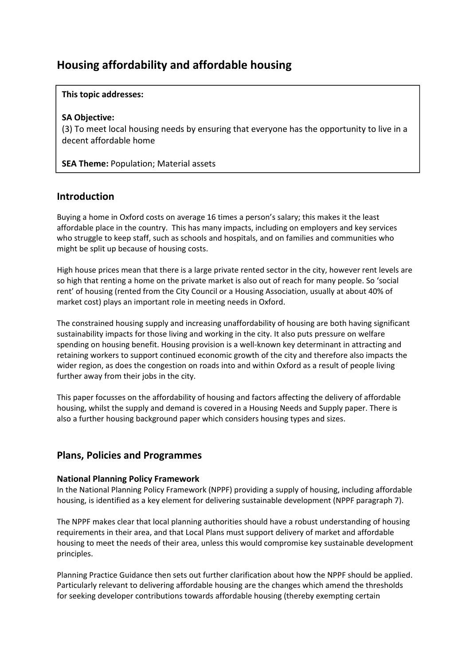# **Housing affordability and affordable housing**

#### **This topic addresses:**

#### **SA Objective:**

(3) To meet local housing needs by ensuring that everyone has the opportunity to live in a decent affordable home

**SEA Theme:** Population; Material assets

### **Introduction**

Buying a home in Oxford costs on average 16 times a person's salary; this makes it the least affordable place in the country. This has many impacts, including on employers and key services who struggle to keep staff, such as schools and hospitals, and on families and communities who might be split up because of housing costs.

High house prices mean that there is a large private rented sector in the city, however rent levels are so high that renting a home on the private market is also out of reach for many people. So 'social rent' of housing (rented from the City Council or a Housing Association, usually at about 40% of market cost) plays an important role in meeting needs in Oxford.

The constrained housing supply and increasing unaffordability of housing are both having significant sustainability impacts for those living and working in the city. It also puts pressure on welfare spending on housing benefit. Housing provision is a well-known key determinant in attracting and retaining workers to support continued economic growth of the city and therefore also impacts the wider region, as does the congestion on roads into and within Oxford as a result of people living further away from their jobs in the city.

This paper focusses on the affordability of housing and factors affecting the delivery of affordable housing, whilst the supply and demand is covered in a Housing Needs and Supply paper. There is also a further housing background paper which considers housing types and sizes.

### **Plans, Policies and Programmes**

#### **National Planning Policy Framework**

In the National Planning Policy Framework (NPPF) providing a supply of housing, including affordable housing, is identified as a key element for delivering sustainable development (NPPF paragraph 7).

The NPPF makes clear that local planning authorities should have a robust understanding of housing requirements in their area, and that Local Plans must support delivery of market and affordable housing to meet the needs of their area, unless this would compromise key sustainable development principles.

Planning Practice Guidance then sets out further clarification about how the NPPF should be applied. Particularly relevant to delivering affordable housing are the changes which amend the thresholds for seeking developer contributions towards affordable housing (thereby exempting certain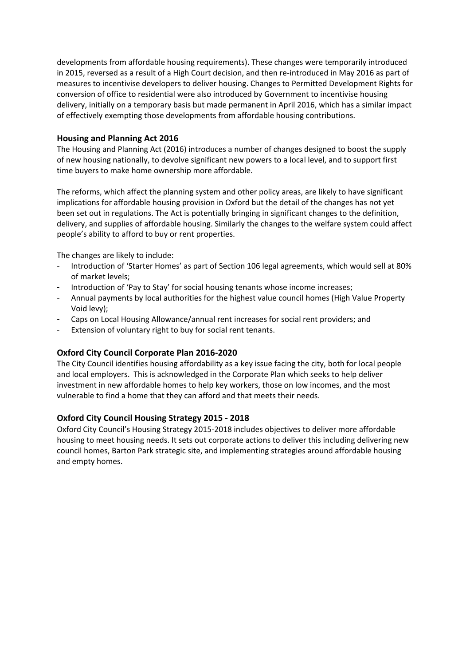developments from affordable housing requirements). These changes were temporarily introduced in 2015, reversed as a result of a High Court decision, and then re-introduced in May 2016 as part of measures to incentivise developers to deliver housing. Changes to Permitted Development Rights for conversion of office to residential were also introduced by Government to incentivise housing delivery, initially on a temporary basis but made permanent in April 2016, which has a similar impact of effectively exempting those developments from affordable housing contributions.

#### **Housing and Planning Act 2016**

The Housing and Planning Act (2016) introduces a number of changes designed to boost the supply of new housing nationally, to devolve significant new powers to a local level, and to support first time buyers to make home ownership more affordable.

The reforms, which affect the planning system and other policy areas, are likely to have significant implications for affordable housing provision in Oxford but the detail of the changes has not yet been set out in regulations. The Act is potentially bringing in significant changes to the definition, delivery, and supplies of affordable housing. Similarly the changes to the welfare system could affect people's ability to afford to buy or rent properties.

The changes are likely to include:

- Introduction of 'Starter Homes' as part of Section 106 legal agreements, which would sell at 80% of market levels;
- Introduction of 'Pay to Stay' for social housing tenants whose income increases;
- Annual payments by local authorities for the highest value council homes (High Value Property Void levy);
- Caps on Local Housing Allowance/annual rent increases for social rent providers; and
- Extension of voluntary right to buy for social rent tenants.

#### **Oxford City Council Corporate Plan 2016‐2020**

The City Council identifies housing affordability as a key issue facing the city, both for local people and local employers. This is acknowledged in the Corporate Plan which seeks to help deliver investment in new affordable homes to help key workers, those on low incomes, and the most vulnerable to find a home that they can afford and that meets their needs.

#### **Oxford City Council Housing Strategy 2015 ‐ 2018**

Oxford City Council's Housing Strategy 2015‐2018 includes objectives to deliver more affordable housing to meet housing needs. It sets out corporate actions to deliver this including delivering new council homes, Barton Park strategic site, and implementing strategies around affordable housing and empty homes.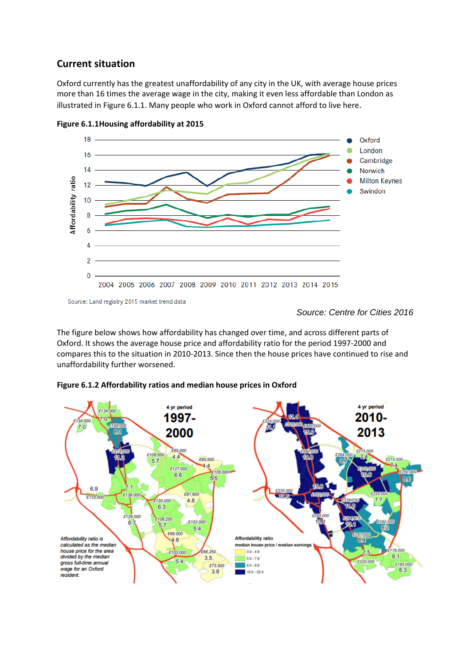## **Current situation**

Oxford currently has the greatest unaffordability of any city in the UK, with average house prices more than 16 times the average wage in the city, making it even less affordable than London as illustrated in Figure 6.1.1. Many people who work in Oxford cannot afford to live here.



**Figure 6.1.1Housing affordability at 2015**

Source: Land registry 2015 market trend data

The figure below shows how affordability has changed over time, and across different parts of Oxford. It shows the average house price and affordability ratio for the period 1997‐2000 and compares this to the situation in 2010‐2013. Since then the house prices have continued to rise and unaffordability further worsened.



#### **Figure 6.1.2 Affordability ratios and median house prices in Oxford**

*Source: Centre for Cities 2016*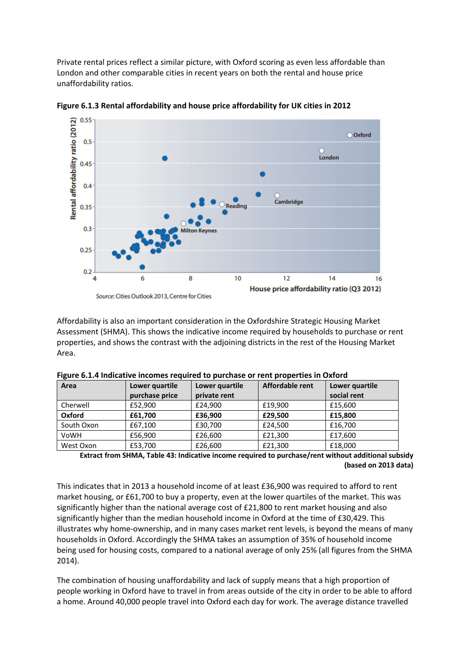Private rental prices reflect a similar picture, with Oxford scoring as even less affordable than London and other comparable cities in recent years on both the rental and house price unaffordability ratios.



**Figure 6.1.3 Rental affordability and house price affordability for UK cities in 2012**

Affordability is also an important consideration in the Oxfordshire Strategic Housing Market Assessment (SHMA). This shows the indicative income required by households to purchase or rent properties, and shows the contrast with the adjoining districts in the rest of the Housing Market Area.

| Area       | Lower quartile | Lower quartile | Affordable rent | Lower quartile |
|------------|----------------|----------------|-----------------|----------------|
|            | purchase price | private rent   |                 | social rent    |
| Cherwell   | £52,900        | £24,900        | £19,900         | £15,600        |
| Oxford     | £61,700        | £36,900        | £29,500         | £15,800        |
| South Oxon | £67,100        | £30,700        | £24.500         | £16,700        |
| VoWH       | £56,900        | £26,600        | £21,300         | £17,600        |
| West Oxon  | £53,700        | £26,600        | £21,300         | £18,000        |

**Figure 6.1.4 Indicative incomes required to purchase or rent properties in Oxford**

**Extract from SHMA, Table 43: Indicative income required to purchase/rent without additional subsidy (based on 2013 data)**

This indicates that in 2013 a household income of at least £36,900 was required to afford to rent market housing, or £61,700 to buy a property, even at the lower quartiles of the market. This was significantly higher than the national average cost of £21,800 to rent market housing and also significantly higher than the median household income in Oxford at the time of £30,429. This illustrates why home‐ownership, and in many cases market rent levels, is beyond the means of many households in Oxford. Accordingly the SHMA takes an assumption of 35% of household income being used for housing costs, compared to a national average of only 25% (all figures from the SHMA 2014).

The combination of housing unaffordability and lack of supply means that a high proportion of people working in Oxford have to travel in from areas outside of the city in order to be able to afford a home. Around 40,000 people travel into Oxford each day for work. The average distance travelled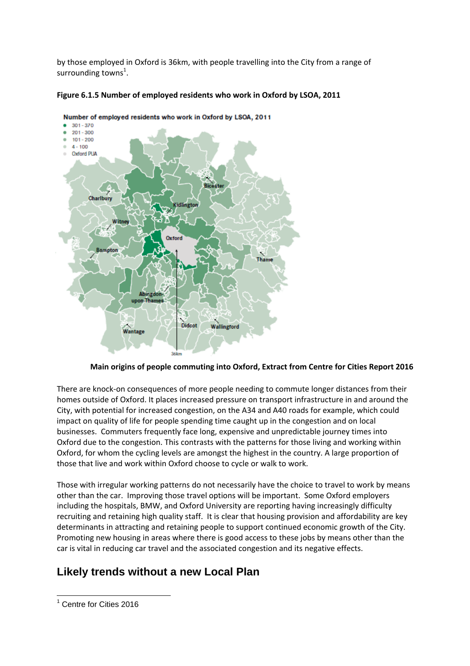by those employed in Oxford is 36km, with people travelling into the City from a range of surrounding towns $^1$ .





#### **Main origins of people commuting into Oxford, Extract from Centre for Cities Report 2016**

There are knock-on consequences of more people needing to commute longer distances from their homes outside of Oxford. It places increased pressure on transport infrastructure in and around the City, with potential for increased congestion, on the A34 and A40 roads for example, which could impact on quality of life for people spending time caught up in the congestion and on local businesses. Commuters frequently face long, expensive and unpredictable journey times into Oxford due to the congestion. This contrasts with the patterns for those living and working within Oxford, for whom the cycling levels are amongst the highest in the country. A large proportion of those that live and work within Oxford choose to cycle or walk to work.

Those with irregular working patterns do not necessarily have the choice to travel to work by means other than the car. Improving those travel options will be important. Some Oxford employers including the hospitals, BMW, and Oxford University are reporting having increasingly difficulty recruiting and retaining high quality staff. It is clear that housing provision and affordability are key determinants in attracting and retaining people to support continued economic growth of the City. Promoting new housing in areas where there is good access to these jobs by means other than the car is vital in reducing car travel and the associated congestion and its negative effects.

## **Likely trends without a new Local Plan**

 $\overline{a}$ <sup>1</sup> Centre for Cities 2016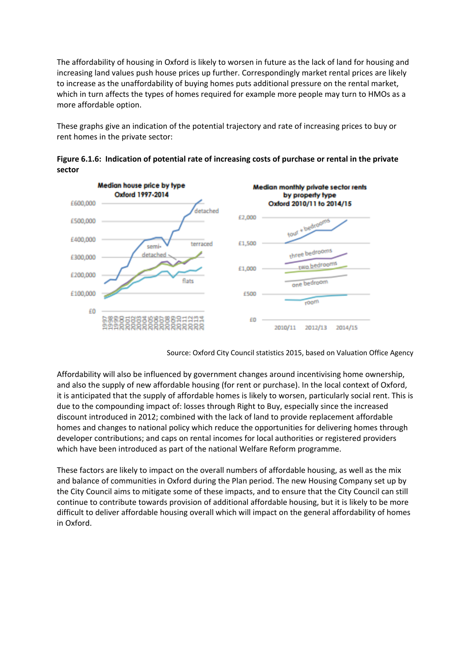The affordability of housing in Oxford is likely to worsen in future as the lack of land for housing and increasing land values push house prices up further. Correspondingly market rental prices are likely to increase as the unaffordability of buying homes puts additional pressure on the rental market, which in turn affects the types of homes required for example more people may turn to HMOs as a more affordable option.

These graphs give an indication of the potential trajectory and rate of increasing prices to buy or rent homes in the private sector:



**Figure 6.1.6: Indication of potential rate of increasing costs of purchase or rental in the private sector** 

Source: Oxford City Council statistics 2015, based on Valuation Office Agency

Affordability will also be influenced by government changes around incentivising home ownership, and also the supply of new affordable housing (for rent or purchase). In the local context of Oxford, it is anticipated that the supply of affordable homes is likely to worsen, particularly social rent. This is due to the compounding impact of: losses through Right to Buy, especially since the increased discount introduced in 2012; combined with the lack of land to provide replacement affordable homes and changes to national policy which reduce the opportunities for delivering homes through developer contributions; and caps on rental incomes for local authorities or registered providers which have been introduced as part of the national Welfare Reform programme.

These factors are likely to impact on the overall numbers of affordable housing, as well as the mix and balance of communities in Oxford during the Plan period. The new Housing Company set up by the City Council aims to mitigate some of these impacts, and to ensure that the City Council can still continue to contribute towards provision of additional affordable housing, but it is likely to be more difficult to deliver affordable housing overall which will impact on the general affordability of homes in Oxford.